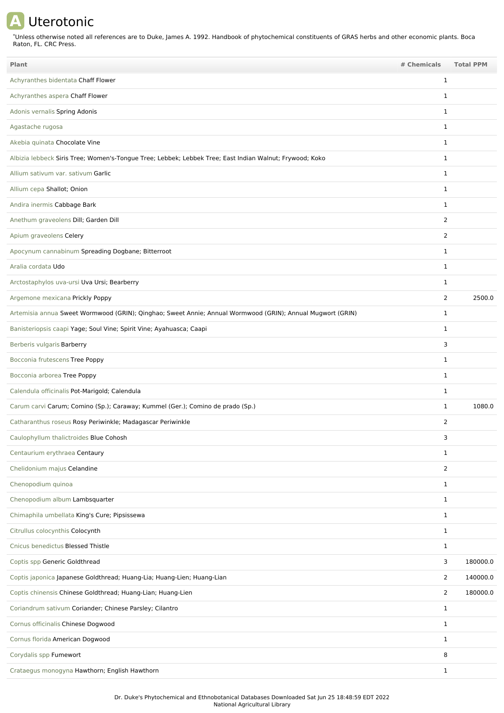## **A** Uterotonic

Unless otherwise noted all references are to Duke, James A. 1992. Handbook of phytochemical constituents of GRAS herbs and other economic plants. Boca Raton, FL. CRC Press. \*

| <b>Plant</b>                                                                                               | # Chemicals    | <b>Total PPM</b> |
|------------------------------------------------------------------------------------------------------------|----------------|------------------|
| Achyranthes bidentata Chaff Flower                                                                         | $\mathbf 1$    |                  |
| Achyranthes aspera Chaff Flower                                                                            | $\mathbf 1$    |                  |
| Adonis vernalis Spring Adonis                                                                              | 1              |                  |
| Agastache rugosa                                                                                           | $\mathbf{1}$   |                  |
| Akebia quinata Chocolate Vine                                                                              | 1              |                  |
| Albizia lebbeck Siris Tree; Women's-Tongue Tree; Lebbek; Lebbek Tree; East Indian Walnut; Frywood; Koko    | $\mathbf{1}$   |                  |
| Allium sativum var. sativum Garlic                                                                         | $\mathbf{1}$   |                  |
| Allium cepa Shallot; Onion                                                                                 | $\mathbf{1}$   |                  |
| Andira inermis Cabbage Bark                                                                                | $\mathbf 1$    |                  |
| Anethum graveolens Dill; Garden Dill                                                                       | $\overline{2}$ |                  |
| Apium graveolens Celery                                                                                    | 2              |                  |
| Apocynum cannabinum Spreading Dogbane; Bitterroot                                                          | $\mathbf 1$    |                  |
| Aralia cordata Udo                                                                                         | $\mathbf{1}$   |                  |
| Arctostaphylos uva-ursi Uva Ursi; Bearberry                                                                | 1              |                  |
| Argemone mexicana Prickly Poppy                                                                            | $\overline{2}$ | 2500.0           |
| Artemisia annua Sweet Wormwood (GRIN); Qinghao; Sweet Annie; Annual Wormwood (GRIN); Annual Mugwort (GRIN) | $\mathbf 1$    |                  |
| Banisteriopsis caapi Yage; Soul Vine; Spirit Vine; Ayahuasca; Caapi                                        | $\mathbf{1}$   |                  |
| Berberis vulgaris Barberry                                                                                 | 3              |                  |
| Bocconia frutescens Tree Poppy                                                                             | $\mathbf 1$    |                  |
| Bocconia arborea Tree Poppy                                                                                | 1              |                  |
| Calendula officinalis Pot-Marigold; Calendula                                                              | $\mathbf{1}$   |                  |
| Carum carvi Carum; Comino (Sp.); Caraway; Kummel (Ger.); Comino de prado (Sp.)                             | $\mathbf{1}$   | 1080.0           |
| Catharanthus roseus Rosy Periwinkle; Madagascar Periwinkle                                                 | 2              |                  |
| Caulophyllum thalictroides Blue Cohosh                                                                     | 3              |                  |
| Centaurium erythraea Centaury                                                                              | 1              |                  |
| Chelidonium majus Celandine                                                                                | $\overline{2}$ |                  |
| Chenopodium quinoa                                                                                         | 1              |                  |
| Chenopodium album Lambsquarter                                                                             | $\mathbf{1}$   |                  |
| Chimaphila umbellata King's Cure; Pipsissewa                                                               | $\mathbf 1$    |                  |
| Citrullus colocynthis Colocynth                                                                            | $\mathbf{1}$   |                  |
| Cnicus benedictus Blessed Thistle                                                                          | $\mathbf{1}$   |                  |
| Coptis spp Generic Goldthread                                                                              | 3              | 180000.0         |
| Coptis japonica Japanese Goldthread; Huang-Lia; Huang-Lien; Huang-Lian                                     | $\overline{2}$ | 140000.0         |
| Coptis chinensis Chinese Goldthread; Huang-Lian; Huang-Lien                                                | $\overline{2}$ | 180000.0         |
| Coriandrum sativum Coriander; Chinese Parsley; Cilantro                                                    | $\mathbf{1}$   |                  |
| Cornus officinalis Chinese Dogwood                                                                         | 1              |                  |
| Cornus florida American Dogwood                                                                            | $\mathbf{1}$   |                  |
| Corydalis spp Fumewort                                                                                     | 8              |                  |
| Crataegus monogyna Hawthorn; English Hawthorn                                                              | $\mathbf{1}$   |                  |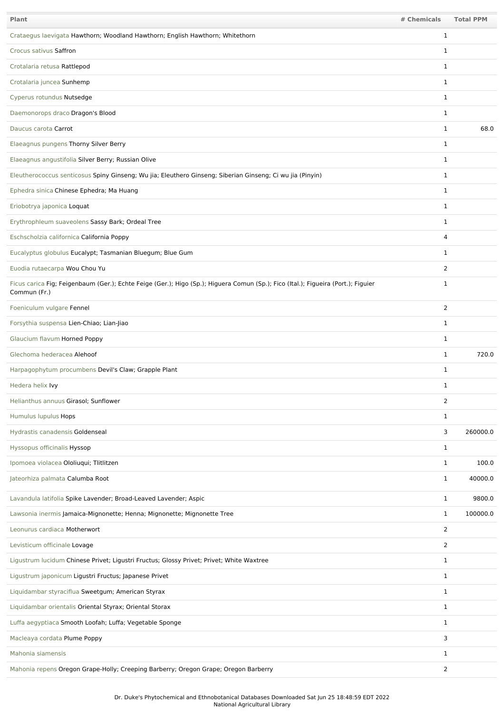| Plant                                                                                                                                             | # Chemicals    | <b>Total PPM</b> |
|---------------------------------------------------------------------------------------------------------------------------------------------------|----------------|------------------|
| Crataegus laevigata Hawthorn; Woodland Hawthorn; English Hawthorn; Whitethorn                                                                     | $\mathbf 1$    |                  |
| Crocus sativus Saffron                                                                                                                            | 1              |                  |
| Crotalaria retusa Rattlepod                                                                                                                       | $\mathbf 1$    |                  |
| Crotalaria juncea Sunhemp                                                                                                                         | $\mathbf{1}$   |                  |
| Cyperus rotundus Nutsedge                                                                                                                         | $\mathbf 1$    |                  |
| Daemonorops draco Dragon's Blood                                                                                                                  | $\mathbf{1}$   |                  |
| Daucus carota Carrot                                                                                                                              | $\mathbf{1}$   | 68.0             |
| Elaeagnus pungens Thorny Silver Berry                                                                                                             | $\mathbf{1}$   |                  |
| Elaeagnus angustifolia Silver Berry; Russian Olive                                                                                                | $\mathbf{1}$   |                  |
| Eleutherococcus senticosus Spiny Ginseng; Wu jia; Eleuthero Ginseng; Siberian Ginseng; Ci wu jia (Pinyin)                                         | $\mathbf{1}$   |                  |
| Ephedra sinica Chinese Ephedra; Ma Huang                                                                                                          | $\mathbf{1}$   |                  |
| Eriobotrya japonica Loquat                                                                                                                        | $\mathbf{1}$   |                  |
| Erythrophleum suaveolens Sassy Bark; Ordeal Tree                                                                                                  | 1              |                  |
| Eschscholzia californica California Poppy                                                                                                         | 4              |                  |
| Eucalyptus globulus Eucalypt; Tasmanian Bluegum; Blue Gum                                                                                         | 1              |                  |
| Euodia rutaecarpa Wou Chou Yu                                                                                                                     | 2              |                  |
| Ficus carica Fig; Feigenbaum (Ger.); Echte Feige (Ger.); Higo (Sp.); Higuera Comun (Sp.); Fico (Ital.); Figueira (Port.); Figuier<br>Commun (Fr.) | 1              |                  |
| Foeniculum vulgare Fennel                                                                                                                         | 2              |                  |
| Forsythia suspensa Lien-Chiao; Lian-Jiao                                                                                                          | 1              |                  |
| Glaucium flavum Horned Poppy                                                                                                                      | $\mathbf 1$    |                  |
| Glechoma hederacea Alehoof                                                                                                                        | 1              | 720.0            |
| Harpagophytum procumbens Devil's Claw; Grapple Plant                                                                                              | 1              |                  |
| Hedera helix Ivy                                                                                                                                  | 1              |                  |
| Helianthus annuus Girasol; Sunflower                                                                                                              | $\overline{2}$ |                  |
| Humulus lupulus Hops                                                                                                                              | $\mathbf{1}$   |                  |
| Hydrastis canadensis Goldenseal                                                                                                                   | 3              | 260000.0         |
| Hyssopus officinalis Hyssop                                                                                                                       | $\mathbf{1}$   |                  |
| Ipomoea violacea Ololiuqui; Tlitlitzen                                                                                                            | 1              | 100.0            |
| Jateorhiza palmata Calumba Root                                                                                                                   | $\mathbf{1}$   | 40000.0          |
| Lavandula latifolia Spike Lavender; Broad-Leaved Lavender; Aspic                                                                                  | $\mathbf{1}$   | 9800.0           |
| Lawsonia inermis Jamaica-Mignonette; Henna; Mignonette; Mignonette Tree                                                                           | $\mathbf{1}$   | 100000.0         |
| Leonurus cardiaca Motherwort                                                                                                                      | 2              |                  |
| Levisticum officinale Lovage                                                                                                                      | 2              |                  |
| Ligustrum lucidum Chinese Privet; Ligustri Fructus; Glossy Privet; Privet; White Waxtree                                                          | 1              |                  |
| Ligustrum japonicum Ligustri Fructus; Japanese Privet                                                                                             | $\mathbf{1}$   |                  |
| Liquidambar styraciflua Sweetgum; American Styrax                                                                                                 | $\mathbf{1}$   |                  |
| Liquidambar orientalis Oriental Styrax; Oriental Storax                                                                                           | $\mathbf{1}$   |                  |
| Luffa aegyptiaca Smooth Loofah; Luffa; Vegetable Sponge                                                                                           | $\mathbf{1}$   |                  |
| Macleaya cordata Plume Poppy                                                                                                                      | 3              |                  |
| Mahonia siamensis                                                                                                                                 | 1              |                  |
| Mahonia repens Oregon Grape-Holly; Creeping Barberry; Oregon Grape; Oregon Barberry                                                               | $\overline{2}$ |                  |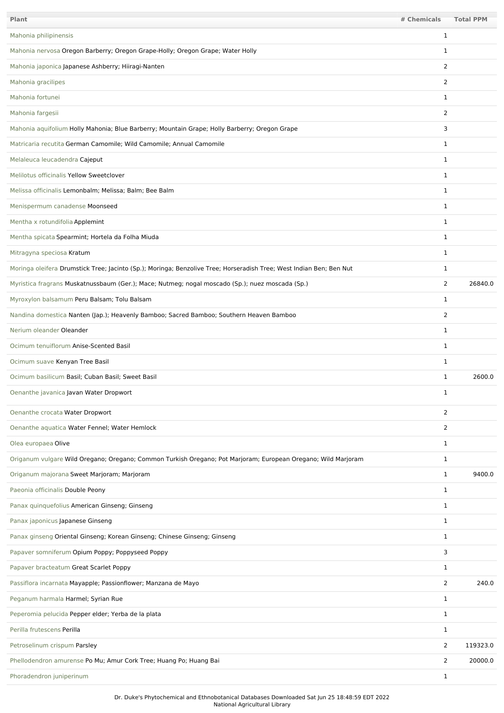| Plant                                                                                                               | # Chemicals    | <b>Total PPM</b> |
|---------------------------------------------------------------------------------------------------------------------|----------------|------------------|
| Mahonia philipinensis                                                                                               | 1              |                  |
| Mahonia nervosa Oregon Barberry; Oregon Grape-Holly; Oregon Grape; Water Holly                                      | 1              |                  |
| Mahonia japonica Japanese Ashberry; Hiiragi-Nanten                                                                  | 2              |                  |
| Mahonia gracilipes                                                                                                  | 2              |                  |
| Mahonia fortunei                                                                                                    | $\mathbf 1$    |                  |
| Mahonia fargesii                                                                                                    | $\overline{2}$ |                  |
| Mahonia aquifolium Holly Mahonia; Blue Barberry; Mountain Grape; Holly Barberry; Oregon Grape                       | 3              |                  |
| Matricaria recutita German Camomile; Wild Camomile; Annual Camomile                                                 | 1              |                  |
| Melaleuca leucadendra Cajeput                                                                                       | 1              |                  |
| Melilotus officinalis Yellow Sweetclover                                                                            | $\mathbf{1}$   |                  |
| Melissa officinalis Lemonbalm; Melissa; Balm; Bee Balm                                                              | $\mathbf 1$    |                  |
| Menispermum canadense Moonseed                                                                                      | $\mathbf{1}$   |                  |
| Mentha x rotundifolia Applemint                                                                                     | 1              |                  |
| Mentha spicata Spearmint; Hortela da Folha Miuda                                                                    | $\mathbf 1$    |                  |
| Mitragyna speciosa Kratum                                                                                           | 1              |                  |
| Moringa oleifera Drumstick Tree; Jacinto (Sp.); Moringa; Benzolive Tree; Horseradish Tree; West Indian Ben; Ben Nut | 1              |                  |
| Myristica fragrans Muskatnussbaum (Ger.); Mace; Nutmeg; nogal moscado (Sp.); nuez moscada (Sp.)                     | $\overline{2}$ | 26840.0          |
| Myroxylon balsamum Peru Balsam; Tolu Balsam                                                                         | 1              |                  |
| Nandina domestica Nanten (Jap.); Heavenly Bamboo; Sacred Bamboo; Southern Heaven Bamboo                             | 2              |                  |
| Nerium oleander Oleander                                                                                            | $\mathbf 1$    |                  |
| Ocimum tenuiflorum Anise-Scented Basil                                                                              | $\mathbf 1$    |                  |
| Ocimum suave Kenyan Tree Basil                                                                                      | 1              |                  |
| Ocimum basilicum Basil; Cuban Basil; Sweet Basil                                                                    | 1              | 2600.0           |
| Oenanthe javanica Javan Water Dropwort                                                                              | 1              |                  |
| Oenanthe crocata Water Dropwort                                                                                     | $\overline{2}$ |                  |
| Oenanthe aquatica Water Fennel; Water Hemlock                                                                       | $\overline{2}$ |                  |
| Olea europaea Olive                                                                                                 | $\mathbf{1}$   |                  |
| Origanum vulgare Wild Oregano; Oregano; Common Turkish Oregano; Pot Marjoram; European Oregano; Wild Marjoram       | $\mathbf 1$    |                  |
| Origanum majorana Sweet Marjoram; Marjoram                                                                          | $\mathbf{1}$   | 9400.0           |
| Paeonia officinalis Double Peony                                                                                    | $\mathbf{1}$   |                  |
| Panax quinquefolius American Ginseng; Ginseng                                                                       | $\mathbf{1}$   |                  |
| Panax japonicus Japanese Ginseng                                                                                    | $\mathbf{1}$   |                  |
| Panax ginseng Oriental Ginseng; Korean Ginseng; Chinese Ginseng; Ginseng                                            | $\mathbf{1}$   |                  |
| Papaver somniferum Opium Poppy; Poppyseed Poppy                                                                     | 3              |                  |
| Papaver bracteatum Great Scarlet Poppy                                                                              | $\mathbf{1}$   |                  |
| Passiflora incarnata Mayapple; Passionflower; Manzana de Mayo                                                       | 2              | 240.0            |
| Peganum harmala Harmel; Syrian Rue                                                                                  | $\mathbf 1$    |                  |
| Peperomia pelucida Pepper elder; Yerba de la plata                                                                  | 1              |                  |
| Perilla frutescens Perilla                                                                                          | $\mathbf{1}$   |                  |
| Petroselinum crispum Parsley                                                                                        | $\overline{2}$ | 119323.0         |
| Phellodendron amurense Po Mu; Amur Cork Tree; Huang Po; Huang Bai                                                   | $\overline{2}$ | 20000.0          |
| Phoradendron juniperinum                                                                                            | $\mathbf{1}$   |                  |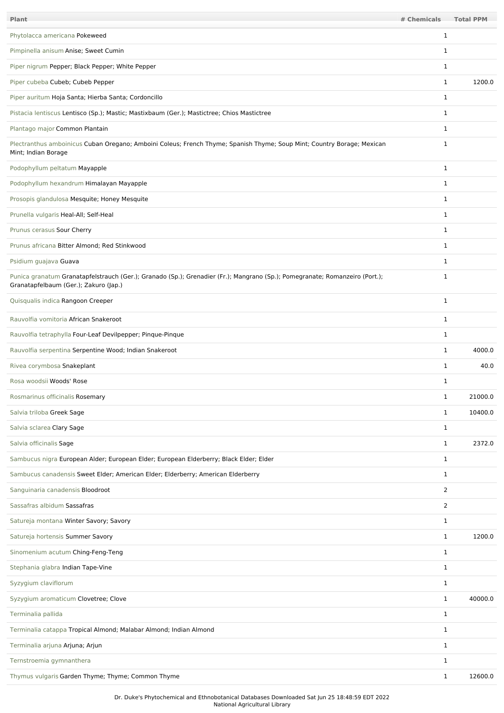| <b>Plant</b>                                                                                                                                                         | # Chemicals  | <b>Total PPM</b> |
|----------------------------------------------------------------------------------------------------------------------------------------------------------------------|--------------|------------------|
| Phytolacca americana Pokeweed                                                                                                                                        | 1            |                  |
| Pimpinella anisum Anise; Sweet Cumin                                                                                                                                 | 1            |                  |
| Piper nigrum Pepper; Black Pepper; White Pepper                                                                                                                      | $\mathbf 1$  |                  |
| Piper cubeba Cubeb; Cubeb Pepper                                                                                                                                     | $\mathbf{1}$ | 1200.0           |
| Piper auritum Hoja Santa; Hierba Santa; Cordoncillo                                                                                                                  | $\mathbf 1$  |                  |
| Pistacia lentiscus Lentisco (Sp.); Mastic; Mastixbaum (Ger.); Mastictree; Chios Mastictree                                                                           | $\mathbf{1}$ |                  |
| Plantago major Common Plantain                                                                                                                                       | 1            |                  |
| Plectranthus amboinicus Cuban Oregano; Amboini Coleus; French Thyme; Spanish Thyme; Soup Mint; Country Borage; Mexican<br>Mint; Indian Borage                        | 1            |                  |
| Podophyllum peltatum Mayapple                                                                                                                                        | $\mathbf 1$  |                  |
| Podophyllum hexandrum Himalayan Mayapple                                                                                                                             | $\mathbf 1$  |                  |
| Prosopis glandulosa Mesquite; Honey Mesquite                                                                                                                         | $\mathbf 1$  |                  |
| Prunella vulgaris Heal-All; Self-Heal                                                                                                                                | $\mathbf{1}$ |                  |
| Prunus cerasus Sour Cherry                                                                                                                                           | $\mathbf{1}$ |                  |
| Prunus africana Bitter Almond; Red Stinkwood                                                                                                                         | 1            |                  |
| Psidium guajava Guava                                                                                                                                                | 1            |                  |
| Punica granatum Granatapfelstrauch (Ger.); Granado (Sp.); Grenadier (Fr.); Mangrano (Sp.); Pomegranate; Romanzeiro (Port.);<br>Granatapfelbaum (Ger.); Zakuro (Jap.) | $\mathbf{1}$ |                  |
| Quisqualis indica Rangoon Creeper                                                                                                                                    | $\mathbf 1$  |                  |
| Rauvolfia vomitoria African Snakeroot                                                                                                                                | 1            |                  |
| Rauvolfia tetraphylla Four-Leaf Devilpepper; Pinque-Pinque                                                                                                           | 1            |                  |
| Rauvolfia serpentina Serpentine Wood; Indian Snakeroot                                                                                                               | 1            | 4000.0           |
| Rivea corymbosa Snakeplant                                                                                                                                           | 1            | 40.0             |
| Rosa woodsii Woods' Rose                                                                                                                                             | $\mathbf 1$  |                  |
| Rosmarinus officinalis Rosemary                                                                                                                                      | $\mathbf 1$  | 21000.0          |
| Salvia triloba Greek Sage                                                                                                                                            | $\mathbf{1}$ | 10400.0          |
| Salvia sclarea Clary Sage                                                                                                                                            | $\mathbf{1}$ |                  |
| Salvia officinalis Sage                                                                                                                                              | $\mathbf{1}$ | 2372.0           |
| Sambucus nigra European Alder; European Elder; European Elderberry; Black Elder; Elder                                                                               | $\mathbf 1$  |                  |
| Sambucus canadensis Sweet Elder; American Elder; Elderberry; American Elderberry                                                                                     | $\mathbf{1}$ |                  |
| Sanguinaria canadensis Bloodroot                                                                                                                                     | 2            |                  |
| Sassafras albidum Sassafras                                                                                                                                          | 2            |                  |
| Satureja montana Winter Savory; Savory                                                                                                                               | $\mathbf{1}$ |                  |
| Satureja hortensis Summer Savory                                                                                                                                     | $\mathbf{1}$ | 1200.0           |
| Sinomenium acutum Ching-Feng-Teng                                                                                                                                    | $\mathbf{1}$ |                  |
| Stephania glabra Indian Tape-Vine                                                                                                                                    | $\mathbf{1}$ |                  |
| Syzygium claviflorum                                                                                                                                                 | 1            |                  |
| Syzygium aromaticum Clovetree; Clove                                                                                                                                 | $\mathbf{1}$ | 40000.0          |
| Terminalia pallida                                                                                                                                                   | $\mathbf{1}$ |                  |
| Terminalia catappa Tropical Almond; Malabar Almond; Indian Almond                                                                                                    | $\mathbf{1}$ |                  |
| Terminalia arjuna Arjuna; Arjun                                                                                                                                      | 1            |                  |
| Ternstroemia gymnanthera                                                                                                                                             | 1            |                  |
| Thymus vulgaris Garden Thyme; Thyme; Common Thyme                                                                                                                    | $\mathbf{1}$ | 12600.0          |